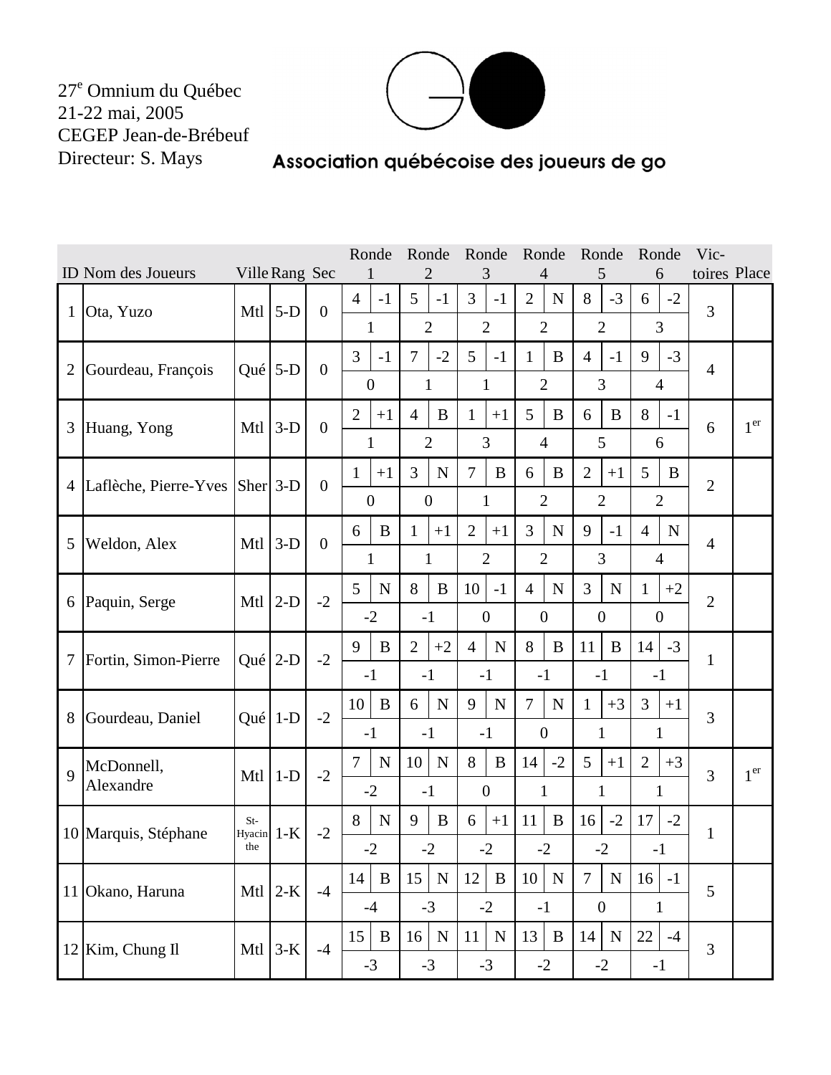$27^e$  Omnium du Québec<br>21-22 mai, 2005 CEGEP Jean-de-Brébeuf Directeur: S. Mays



## Association québécoise des joueurs de go

|                |                                | Ronde           |                | Ronde Ronde Ronde |                        | Ronde                  | Ronde                         | Vic-                          |                               |                               |                |                 |
|----------------|--------------------------------|-----------------|----------------|-------------------|------------------------|------------------------|-------------------------------|-------------------------------|-------------------------------|-------------------------------|----------------|-----------------|
|                | <b>ID</b> Nom des Joueurs      |                 | Ville Rang Sec |                   |                        |                        |                               |                               |                               | 6                             | toires Place   |                 |
| $\mathbf{1}$   | Ota, Yuzo                      | Mtl             | $5-D$          | $\boldsymbol{0}$  | $\overline{4}$<br>$-1$ | 5<br>$-1$              | 3<br>$-1$                     | $\overline{2}$<br>N           | 8<br>$-3$                     | $-2$<br>6                     | 3              |                 |
|                |                                |                 |                |                   | $\mathbf{1}$           | $\overline{2}$         | $\overline{2}$                | $\overline{2}$                | $\overline{2}$                | 3                             |                |                 |
|                |                                |                 |                |                   | $\overline{3}$<br>$-1$ | $\overline{7}$<br>$-2$ | 5<br>$-1$                     | B<br>1                        | $\overline{4}$<br>$-1$        | 9<br>$-3$                     | $\overline{4}$ |                 |
| $\overline{2}$ | Gourdeau, François             | Qué $5-D$       |                | $\theta$          | $\overline{0}$         | $\mathbf{1}$           | $\mathbf{1}$                  | $\overline{2}$                | $\overline{3}$                | $\overline{4}$                |                |                 |
|                |                                |                 |                | $\boldsymbol{0}$  | $\overline{2}$<br>$+1$ | $\overline{4}$<br>B    | $\mathbf{1}$<br>$+1$          | 5<br>B                        | 6<br>B                        | 8<br>$-1$                     |                | 1 <sup>er</sup> |
| 3              | Huang, Yong                    | Mtl             | $3-D$          |                   | $\mathbf{1}$           | $\overline{2}$         | 3                             | $\overline{4}$                | 5                             | 6                             | 6              |                 |
|                | Laflèche, Pierre-Yves Sher 3-D |                 |                | $\theta$          | $\mathbf{1}$<br>$+1$   | 3<br>${\bf N}$         | $\overline{7}$<br>$\bf{B}$    | 6<br>B                        | $\overline{2}$<br>$+1$        | 5<br>B                        |                |                 |
| $\overline{4}$ |                                |                 |                |                   | $\overline{0}$         | $\boldsymbol{0}$       | $\mathbf{1}$                  | $\overline{2}$                | $\overline{2}$                | $\overline{2}$                | $\overline{2}$ |                 |
|                |                                |                 |                | $\overline{0}$    | 6<br>$\bf{B}$          | $\mathbf{1}$<br>$+1$   | $\overline{2}$<br>$+1$        | 3<br>$\mathbf N$              | 9<br>$-1$                     | $\overline{4}$<br>$\mathbf N$ |                |                 |
| 5              | Weldon, Alex                   | Mtl             | $3-D$          |                   | $\mathbf{1}$           | $\mathbf{1}$           | $\overline{2}$                | $\overline{2}$                | 3                             | $\overline{4}$                | $\overline{4}$ |                 |
|                | Paquin, Serge                  | Mtl             |                | $-2$              | 5<br>$\mathbf N$       | 8<br>$\bf{B}$          | 10<br>$-1$                    | ${\bf N}$<br>$\overline{4}$   | $\overline{3}$<br>$\mathbf N$ | $+2$<br>1                     | $\overline{2}$ |                 |
| 6              |                                |                 | $2-D$          |                   | $-2$                   | $-1$                   | $\boldsymbol{0}$              | $\overline{0}$                | $\overline{0}$                | $\theta$                      |                |                 |
|                |                                |                 |                | $-2$              | 9<br>$\, {\bf B}$      | $\overline{2}$<br>$+2$ | $\overline{4}$<br>$\mathbf N$ | 8<br>$\bf{B}$                 | 11<br>$\bf{B}$                | $-3$<br>14                    |                |                 |
| 7              | Fortin, Simon-Pierre           | Qué             | $2-D$          |                   | $-1$                   | $-1$                   | $-1$                          | $-1$                          | $-1$                          | $-1$                          | 1              |                 |
| 8              |                                |                 | Qué $1-D$      | $-2$              | 10<br>$\bf{B}$         | ${\bf N}$<br>6         | 9<br>${\bf N}$                | $\overline{7}$<br>$\mathbf N$ | $+3$<br>$\mathbf{1}$          | $\overline{3}$<br>$+1$        | $\overline{3}$ |                 |
|                | Gourdeau, Daniel               |                 |                |                   | $-1$                   | $-1$                   | $-1$                          | $\boldsymbol{0}$              | $\mathbf{1}$                  | $\mathbf{1}$                  |                |                 |
| $\overline{Q}$ | McDonnell,                     | Mtl             | $1-D$          | $-2$              | $\tau$<br>$\mathbf N$  | 10<br>$\mathbf N$      | 8<br>$\bf{B}$                 | $-2$<br>14                    | 5<br>$+1$                     | $\overline{2}$<br>$+3$        | 3              | 1 <sup>er</sup> |
|                | Alexandre                      |                 |                |                   | $-2$                   | $-1$                   | $\boldsymbol{0}$              | $\mathbf{1}$                  | $\mathbf{1}$                  | 1                             |                |                 |
|                |                                | $St-$<br>Hyacin | $1-K$          | $-2$              | 8<br>${\bf N}$         | 9<br>B                 | 6<br>$+1$                     | B<br>11                       | $-2$<br>16                    | 17<br>$-2$                    | $\mathbf{1}$   |                 |
|                | 10 Marquis, Stéphane           | the             |                |                   | $-2$                   | $-2$                   | $-2$                          | $-2$                          | $-2$                          | $-1$                          |                |                 |
|                | 11 Okano, Haruna               | Mtl             | $2-K$          | $-4$              | 14<br>$\mathbf B$      | 15<br>${\bf N}$        | 12<br>$\, {\bf B}$            | 10<br>${\bf N}$               | $\overline{7}$<br>${\bf N}$   | 16<br>$-1$                    | 5              |                 |
|                |                                |                 |                |                   | $-4$                   | $-3$                   | $-2$                          | $-1$                          | $\boldsymbol{0}$              | $\mathbf{1}$                  |                |                 |
|                | Kim, Chung Il                  | Mtl             | $3-K$          | $-4$              | 15<br>$\, {\bf B}$     | 16<br>${\bf N}$        | 11<br>${\bf N}$               | 13<br>$\bf{B}$                | 14<br>$\mathbf N$             | 22<br>$-4$                    | 3              |                 |
| 12             |                                |                 |                |                   | $-3$                   | $-3$                   | $-3$                          | $-2$                          | $-2$                          | $-1$                          |                |                 |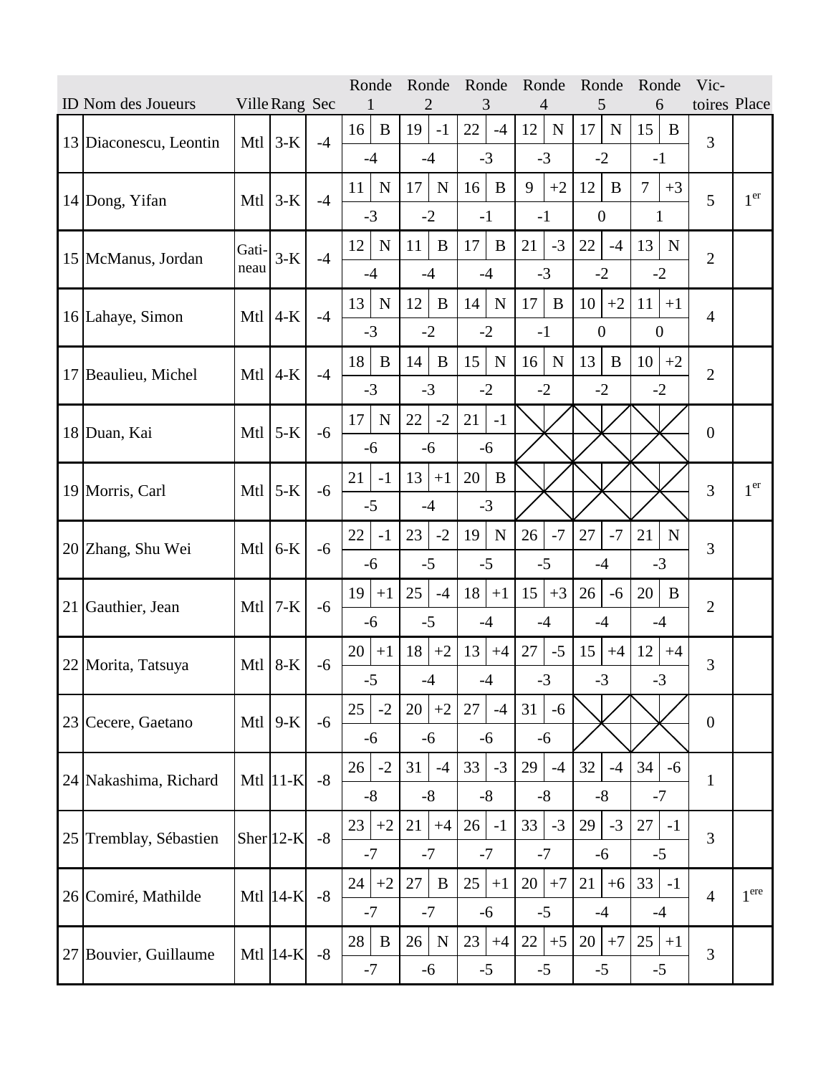| ID Nom des Joueurs<br>Ville Rang Sec |                        |               |              |      | Ronde           |             | Ronde<br>2        | Ronde<br>3      |             | Ronde<br>4 |             | Ronde<br>5       |             | Ronde<br>6       |             | Vic-<br>toires Place |                  |
|--------------------------------------|------------------------|---------------|--------------|------|-----------------|-------------|-------------------|-----------------|-------------|------------|-------------|------------------|-------------|------------------|-------------|----------------------|------------------|
|                                      |                        |               |              |      | 16              | B           | 19<br>$-1$        | 22              | $-4$        | 12         | ${\bf N}$   | 17               | $\mathbf N$ | 15               | B           |                      |                  |
|                                      | 13 Diaconescu, Leontin | Mtl           | $3-K$        | $-4$ | $-4$            |             | $-4$              |                 | $-3$        | $-3$       |             |                  | $-2$        | $-1$             |             | 3                    |                  |
|                                      |                        |               |              |      | 11              | $\mathbf N$ | 17<br>$\mathbf N$ | 16              | $\bf{B}$    | 9          | $+2$        | 12               | B           | $\overline{7}$   | $+3$        |                      | 1 <sup>er</sup>  |
|                                      | 14 Dong, Yifan         | Mtl           | $3-K$        | $-4$ | $-3$            |             | $-2$              | $-1$            |             | $-1$       |             | $\boldsymbol{0}$ |             | 1                |             | 5                    |                  |
|                                      |                        | Gati-         |              |      | 12              | $\mathbf N$ | 11<br>$\bf{B}$    | 17              | $\bf{B}$    | 21         | $-3$        | 22               | $-4$        | 13               | $\mathbf N$ |                      |                  |
|                                      | 15 McManus, Jordan     | neau          | $3-K$        | $-4$ | $-4$            |             | $-4$              |                 | $-4$        | $-3$       |             |                  | $-2$        | $-2$             |             | $\overline{2}$       |                  |
|                                      |                        |               |              |      | 13              | ${\bf N}$   | 12<br>$\bf{B}$    | 14              | $\mathbf N$ | 17         | $\bf{B}$    | 10               | $+2$        | 11               | $+1$        | $\overline{4}$       |                  |
|                                      | 16 Lahaye, Simon       | Mtl           | $4-K$        | $-4$ | $-3$            |             | $-2$              |                 | $-2$        | $-1$       |             | $\boldsymbol{0}$ |             | $\boldsymbol{0}$ |             |                      |                  |
|                                      | 17 Beaulieu, Michel    |               |              | $-4$ | 18              | $\bf{B}$    | 14<br>B           | 15              | $\mathbf N$ | 16         | $\mathbf N$ | 13               | B           | 10               | $+2$        | $\overline{2}$       |                  |
|                                      |                        | Mtl           | $4-K$        |      | $-3$            |             | $-3$              |                 | $-2$        | $-2$       |             | $-2$             |             | $-2$             |             |                      |                  |
|                                      | 18 Duan, Kai           | Mtl           | $5-K$        | $-6$ | 17              | $\mathbf N$ | 22<br>$-2$        | 21              | $-1$        |            |             |                  |             |                  |             | $\boldsymbol{0}$     |                  |
|                                      |                        |               |              |      | $-6$            |             | $-6$              |                 | $-6$        |            |             |                  |             |                  |             |                      |                  |
|                                      | 19 Morris, Carl        | Mtl           | $5-K$        | $-6$ | 21              | $-1$        | 13<br>$+1$        | 20              | B           |            |             |                  |             |                  |             | 3                    | 1 <sup>er</sup>  |
|                                      |                        |               |              |      | $-5$            |             | $-4$              |                 | $-3$        |            |             |                  |             |                  |             |                      |                  |
|                                      | 20 Zhang, Shu Wei      | Mtl           | $6-K$        | $-6$ | 22              | $-1$        | 23<br>$-2$        | 19              | $\mathbf N$ | 26         | $-7$        | 27               | $-7$        | 21               | $\mathbf N$ | 3                    |                  |
|                                      |                        |               |              |      | $-6$            |             | $-5$              |                 | $-5$        | $-5$       |             |                  | $-4$        | $-3$             |             |                      |                  |
| 21                                   | Gauthier, Jean         | Mtl           | $7-K$        | $-6$ | 19              | $+1$        | 25<br>$-4$        | 18 <sup>1</sup> | $+1$        | 15         | $+3$        | 26               | $-6$        | 20               | B           | $\overline{2}$       |                  |
|                                      |                        |               |              |      | $-6$            |             | $-5$              |                 | $-4$        | $-4$       |             | $-4$             |             | $-4$             |             |                      |                  |
|                                      | 22 Morita, Tatsuya     | Mtl           | $8-K$        | $-6$ | 20              | $+1$        | 18<br>$+2$        | 13              | $+4$        | 27         | $-5$        | 15               | $+4$        | 12               | $+4$        | 3                    |                  |
|                                      |                        |               |              |      | $-5$            |             | $-4$              |                 | $-4$        |            | $-3$        |                  | $-3$        |                  | $-3$        |                      |                  |
|                                      | 23 Cecere, Gaetano     | Mtl           | $9-K$        | $-6$ | 25              | $-2$        | 20<br>$+2$        | 27              | $-4$        | 31         | $-6$        |                  |             |                  |             | $\overline{0}$       |                  |
|                                      |                        |               |              |      | $-6$            |             | $-6$              |                 | $-6$        | $-6$       |             |                  |             |                  |             |                      |                  |
|                                      | 24 Nakashima, Richard  |               | Mtl $ 11-K $ | $-8$ | 26 <sup>1</sup> | $-2$        | 31<br>$-4$        | 33              | $-3$        | 29         | $-4$        | 32               | $-4$        | 34               | $-6$        | $\mathbf{1}$         |                  |
|                                      |                        |               |              |      | $-8$            |             | $-8$              |                 | $-8$        | $-8$       |             |                  | $-8$        | $-7$             |             |                      |                  |
| 25                                   | Tremblay, Sébastien    | Sher $ 12-K $ |              | $-8$ | 23              | $+2$        | 21<br>$+4$        | 26              | $-1$        | 33         | $-3$        | 29               | $-3$        | 27               | $-1$        | 3                    |                  |
|                                      |                        |               |              |      | $-7$            |             | $-7$              |                 | $-7$        | $-7$       |             |                  | $-6$        | $-5$             |             |                      |                  |
|                                      | 26 Comiré, Mathilde    |               | Mtl $ 14-K $ | $-8$ | 24              | $+2$        | 27<br>B           | $25 \mid$       | $+1$        | 20         | $+7$        | 21               | $+6$        | 33               | $-1$        | $\overline{4}$       | 1 <sup>ere</sup> |
|                                      |                        |               |              |      | $-7$            |             | $-7$              |                 | $-6$        | $-5$       |             |                  | $-4$        | $-4$             |             |                      |                  |
| 27                                   | Bouvier, Guillaume     |               | Mtl $ 14-K $ | $-8$ | 28              | $\bf{B}$    | 26<br>$\mathbf N$ | 23              | $+4$        | 22         | $+5$        | 20               | $+7$        | 25               | $+1$        | 3                    |                  |
|                                      |                        |               |              |      | $-7$            |             | $-6$              |                 | $-5$        | $-5$       |             |                  | $-5$        | $-5$             |             |                      |                  |